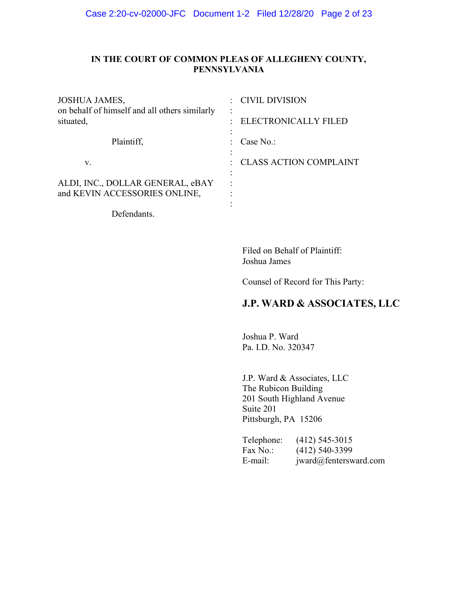# **IN THE COURT OF COMMON PLEAS OF ALLEGHENY COUNTY, PENNSYLVANIA**

| <b>JOSHUA JAMES,</b><br>on behalf of himself and all others similarly<br>situated, | CIVIL DIVISION           |
|------------------------------------------------------------------------------------|--------------------------|
|                                                                                    | ELECTRONICALLY FILED     |
| Plaintiff,                                                                         | Case $No.$ :             |
| V.                                                                                 | : CLASS ACTION COMPLAINT |
| ALDI, INC., DOLLAR GENERAL, eBAY<br>and KEVIN ACCESSORIES ONLINE,                  |                          |
|                                                                                    |                          |

Defendants.

Filed on Behalf of Plaintiff: Joshua James

Counsel of Record for This Party:

# **J.P. WARD & ASSOCIATES, LLC**

Joshua P. Ward Pa. I.D. No. 320347

J.P. Ward & Associates, LLC The Rubicon Building 201 South Highland Avenue Suite 201 Pittsburgh, PA 15206

| Telephone: | $(412)$ 545-3015      |
|------------|-----------------------|
| Fax No.:   | $(412)$ 540-3399      |
| E-mail:    | jward@fentersward.com |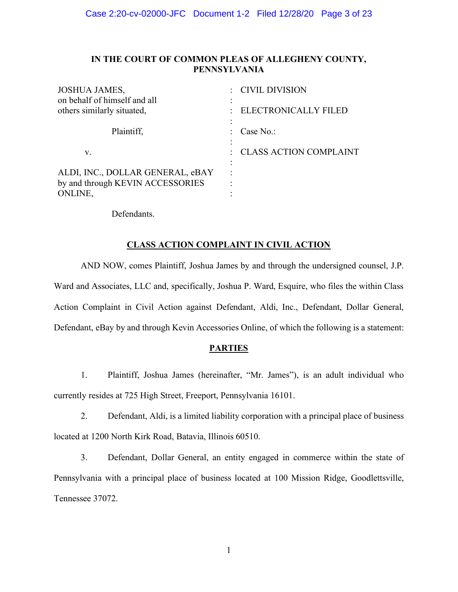### **IN THE COURT OF COMMON PLEAS OF ALLEGHENY COUNTY, PENNSYLVANIA**

| : CIVIL DIVISION              |
|-------------------------------|
| <b>ELECTRONICALLY FILED</b>   |
| Case No.:                     |
| <b>CLASS ACTION COMPLAINT</b> |
|                               |
|                               |

Defendants.

### **CLASS ACTION COMPLAINT IN CIVIL ACTION**

AND NOW, comes Plaintiff, Joshua James by and through the undersigned counsel, J.P.

Ward and Associates, LLC and, specifically, Joshua P. Ward, Esquire, who files the within Class Action Complaint in Civil Action against Defendant, Aldi, Inc., Defendant, Dollar General, Defendant, eBay by and through Kevin Accessories Online, of which the following is a statement:

# **PARTIES**

1. Plaintiff, Joshua James (hereinafter, "Mr. James"), is an adult individual who currently resides at 725 High Street, Freeport, Pennsylvania 16101.

2. Defendant, Aldi, is a limited liability corporation with a principal place of business located at 1200 North Kirk Road, Batavia, Illinois 60510.

3. Defendant, Dollar General, an entity engaged in commerce within the state of Pennsylvania with a principal place of business located at 100 Mission Ridge, Goodlettsville, Tennessee 37072.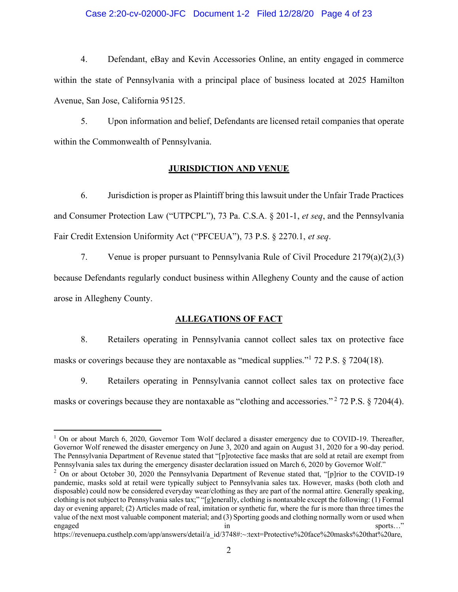### Case 2:20-cv-02000-JFC Document 1-2 Filed 12/28/20 Page 4 of 23

4. Defendant, eBay and Kevin Accessories Online, an entity engaged in commerce within the state of Pennsylvania with a principal place of business located at 2025 Hamilton Avenue, San Jose, California 95125.

5. Upon information and belief, Defendants are licensed retail companies that operate within the Commonwealth of Pennsylvania.

### **JURISDICTION AND VENUE**

6. Jurisdiction is proper as Plaintiff bring this lawsuit under the Unfair Trade Practices and Consumer Protection Law ("UTPCPL"), 73 Pa. C.S.A. § 201-1, *et seq*, and the Pennsylvania Fair Credit Extension Uniformity Act ("PFCEUA"), 73 P.S. § 2270.1, et seq.

7. Venue is proper pursuant to Pennsylvania Rule of Civil Procedure 2179(a)(2),(3) because Defendants regularly conduct business within Allegheny County and the cause of action arose in Allegheny County.

### **ALLEGATIONS OF FACT**

8. Retailers operating in Pennsylvania cannot collect sales tax on protective face masks or coverings because they are nontaxable as "medical supplies."<sup>1</sup> 72 P.S.  $\S$  7204(18).

9. Retailers operating in Pennsylvania cannot collect sales tax on protective face masks or coverings because they are nontaxable as "clothing and accessories."  $2$  72 P.S. § 7204(4).

<sup>&</sup>lt;sup>1</sup> On or about March 6, 2020, Governor Tom Wolf declared a disaster emergency due to COVID-19. Thereafter, Governor Wolf renewed the disaster emergency on June 3, 2020 and again on August 31, 2020 for a 90-day period. The Pennsylvania Department of Revenue stated that "[p]rotective face masks that are sold at retail are exempt from Pennsylvania sales tax during the emergency disaster declaration issued on March 6, 2020 by Governor Wolf.<sup>\*</sup>

 $2$  On or about October 30, 2020 the Pennsylvania Department of Revenue stated that, "[p]rior to the COVID-19 pandemic, masks sold at retail were typically subject to Pennsylvania sales tax. However, masks (both cloth and disposable) could now be considered everyday wear/clothing as they are part of the normal attire. Generally speaking, clothing is not subject to Pennsylvania sales tax;" "[g]enerally, clothing is nontaxable except the following: (1) Formal day or evening apparel; (2) Articles made of real, imitation or synthetic fur, where the fur is more than three times the value of the next most valuable component material; and (3) Sporting goods and clothing normally worn or used when engaged in sports..." In the sports of the sports of the sports of the sports of the sports of the sports of the sports of the sports of the sports of the sports of the sports of the sports of the sports of the sports of t

https://revenuepa.custhelp.com/app/answers/detail/a\_id/3748#:~:text=Protective%20face%20masks%20that%20are,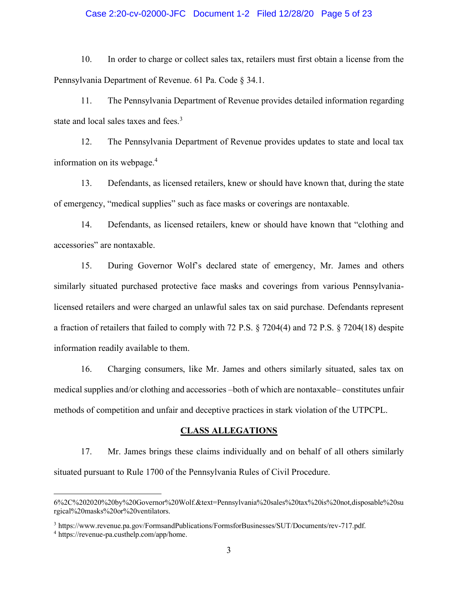### Case 2:20-cv-02000-JFC Document 1-2 Filed 12/28/20 Page 5 of 23

10. In order to charge or collect sales tax, retailers must first obtain a license from the Pennsylvania Department of Revenue. 61 Pa. Code § 34.1.

11. The Pennsylvania Department of Revenue provides detailed information regarding state and local sales taxes and fees.<sup>3</sup>

12. The Pennsylvania Department of Revenue provides updates to state and local tax information on its webpage.<sup>4</sup>

13. Defendants, as licensed retailers, knew or should have known that, during the state of emergency, "medical supplies" such as face masks or coverings are nontaxable.

14. Defendants, as licensed retailers, knew or should have known that "clothing and accessories" are nontaxable.

15. During Governor Wolf's declared state of emergency, Mr. James and others similarly situated purchased protective face masks and coverings from various Pennsylvanialicensed retailers and were charged an unlawful sales tax on said purchase. Defendants represent a fraction of retailers that failed to comply with 72 P.S. § 7204(4) and 72 P.S. § 7204(18) despite information readily available to them.

16. Charging consumers, like Mr. James and others similarly situated, sales tax on medical supplies and/or clothing and accessories -both of which are nontaxable-constitutes unfair methods of competition and unfair and deceptive practices in stark violation of the UTPCPL.

### **CLASS ALLEGATIONS**

17. Mr. James brings these claims individually and on behalf of all others similarly situated pursuant to Rule 1700 of the Pennsylvania Rules of Civil Procedure.

<sup>6%2</sup>C%202020%20by%20Governor%20Wolf.&text=Pennsylvania%20sales%20tax%20is%20not,disposable%20su rgical%20masks%20or%20ventilators.

<sup>3</sup> https://www.revenue.pa.gov/FormsandPublications/FormsforBusinesses/SUT/Documents/rev-717.pdf.

<sup>4</sup> https://revenue-pa.custhelp.com/app/home.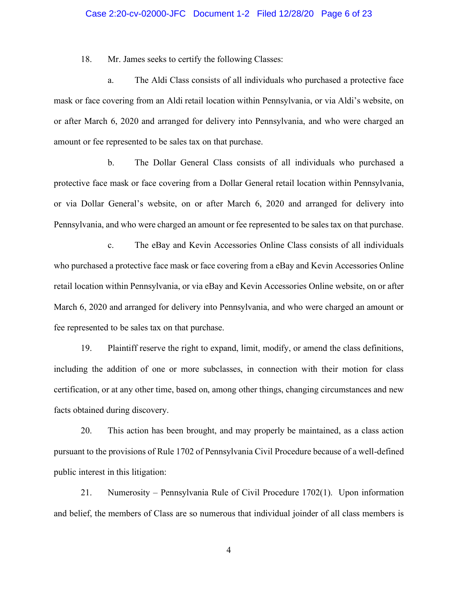### Case 2:20-cv-02000-JFC Document 1-2 Filed 12/28/20 Page 6 of 23

18. Mr. James seeks to certify the following Classes:

a. The Aldi Class consists of all individuals who purchased a protective face mask or face covering from an Aldi retail location within Pennsylvania, or via Aldi's website, on or after March 6, 2020 and arranged for delivery into Pennsylvania, and who were charged an amount or fee represented to be sales tax on that purchase.

b. The Dollar General Class consists of all individuals who purchased a protective face mask or face covering from a Dollar General retail location within Pennsylvania, or via Dollar General's website, on or after March 6, 2020 and arranged for delivery into Pennsylvania, and who were charged an amount or fee represented to be sales tax on that purchase.

c. The eBay and Kevin Accessories Online Class consists of all individuals who purchased a protective face mask or face covering from a eBay and Kevin Accessories Online retail location within Pennsylvania, or via eBay and Kevin Accessories Online website, on or after March 6, 2020 and arranged for delivery into Pennsylvania, and who were charged an amount or fee represented to be sales tax on that purchase.

19. Plaintiff reserve the right to expand, limit, modify, or amend the class definitions, including the addition of one or more subclasses, in connection with their motion for class certification, or at any other time, based on, among other things, changing circumstances and new facts obtained during discovery.

20. This action has been brought, and may properly be maintained, as a class action pursuant to the provisions of Rule 1702 of Pennsylvania Civil Procedure because of a well-defined public interest in this litigation:

21. Numerosity – Pennsylvania Rule of Civil Procedure  $1702(1)$ . Upon information and belief, the members of Class are so numerous that individual joinder of all class members is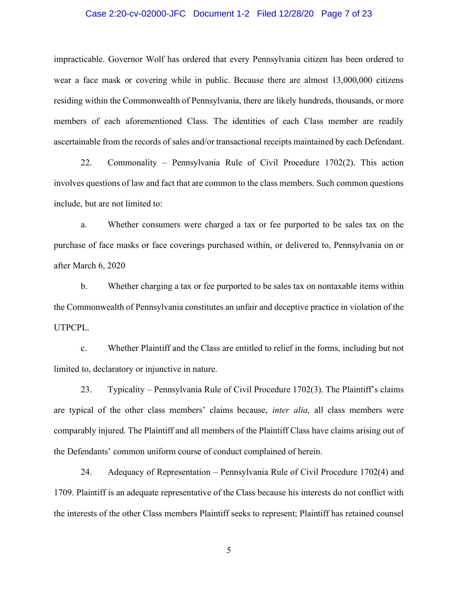### Case 2:20-cv-02000-JFC Document 1-2 Filed 12/28/20 Page 7 of 23

impracticable. Governor Wolf has ordered that every Pennsylvania citizen has been ordered to wear a face mask or covering while in public. Because there are almost 13,000,000 citizens residing within the Commonwealth of Pennsylvania, there are likely hundreds, thousands, or more members of each aforementioned Class. The identities of each Class member are readily ascertainable from the records of sales and/or transactional receipts maintained by each Defendant.

22. Commonality – Pennsylvania Rule of Civil Procedure  $1702(2)$ . This action involves questions of law and fact that are common to the class members. Such common questions include, but are not limited to:

a. Whether consumers were charged a tax or fee purported to be sales tax on the purchase of face masks or face coverings purchased within, or delivered to, Pennsylvania on or after March 6, 2020

b. Whether charging a tax or fee purported to be sales tax on nontaxable items within the Commonwealth of Pennsylvania constitutes an unfair and deceptive practice in violation of the UTPCPL.

c. Whether Plaintiff and the Class are entitled to relief in the forms, including but not limited to, declaratory or injunctive in nature.

23. Typicality – Pennsylvania Rule of Civil Procedure 1702(3). The Plaintiff's claims are typical of the other class members' claims because, *inter alia*, all class members were comparably injured. The Plaintiff and all members of the Plaintiff Class have claims arising out of the Defendants' common uniform course of conduct complained of herein.

24. Adequacy of Representation – Pennsylvania Rule of Civil Procedure 1702(4) and 1709. Plaintiff is an adequate representative of the Class because his interests do not conflict with the interests of the other Class members Plaintiff seeks to represent; Plaintiff has retained counsel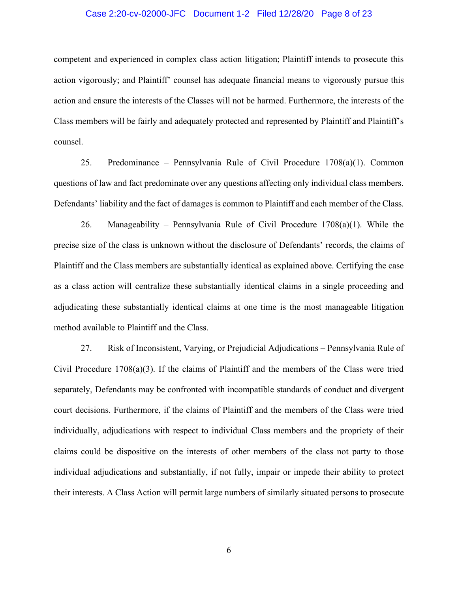### Case 2:20-cv-02000-JFC Document 1-2 Filed 12/28/20 Page 8 of 23

competent and experienced in complex class action litigation; Plaintiff intends to prosecute this action vigorously; and Plaintiff' counsel has adequate financial means to vigorously pursue this action and ensure the interests of the Classes will not be harmed. Furthermore, the interests of the Class members will be fairly and adequately protected and represented by Plaintiff and Plaintiff's counsel.

25. Predominance – Pennsylvania Rule of Civil Procedure  $1708(a)(1)$ . Common questions of law and fact predominate over any questions affecting only individual class members. Defendants' liability and the fact of damages is common to Plaintiff and each member of the Class.

26. Manageability – Pennsylvania Rule of Civil Procedure  $1708(a)(1)$ . While the precise size of the class is unknown without the disclosure of Defendants' records, the claims of Plaintiff and the Class members are substantially identical as explained above. Certifying the case as a class action will centralize these substantially identical claims in a single proceeding and adjudicating these substantially identical claims at one time is the most manageable litigation method available to Plaintiff and the Class.

27. Risk of Inconsistent, Varying, or Prejudicial Adjudications – Pennsylvania Rule of Civil Procedure  $1708(a)(3)$ . If the claims of Plaintiff and the members of the Class were tried separately, Defendants may be confronted with incompatible standards of conduct and divergent court decisions. Furthermore, if the claims of Plaintiff and the members of the Class were tried individually, adjudications with respect to individual Class members and the propriety of their claims could be dispositive on the interests of other members of the class not party to those individual adjudications and substantially, if not fully, impair or impede their ability to protect their interests. A Class Action will permit large numbers of similarly situated persons to prosecute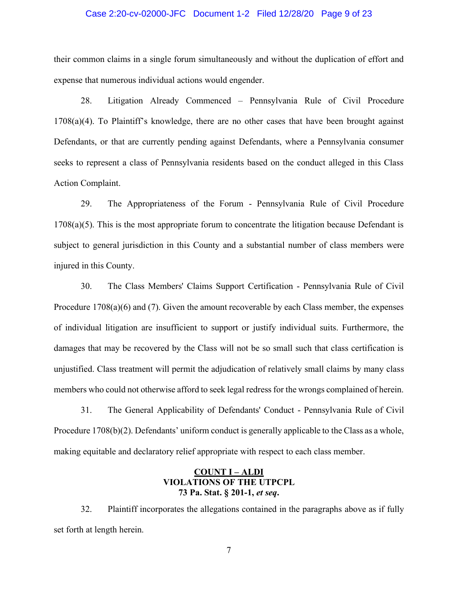#### Case 2:20-cv-02000-JFC Document 1-2 Filed 12/28/20 Page 9 of 23

their common claims in a single forum simultaneously and without the duplication of effort and expense that numerous individual actions would engender.

28. Litigation Already Commenced – Pennsylvania Rule of Civil Procedure  $1708(a)(4)$ . To Plaintiff's knowledge, there are no other cases that have been brought against Defendants, or that are currently pending against Defendants, where a Pennsylvania consumer seeks to represent a class of Pennsylvania residents based on the conduct alleged in this Class Action Complaint.

29. The Appropriateness of the Forum - Pennsylvania Rule of Civil Procedure  $1708(a)(5)$ . This is the most appropriate forum to concentrate the litigation because Defendant is subject to general jurisdiction in this County and a substantial number of class members were injured in this County.

30. The Class Members' Claims Support Certification - Pennsylvania Rule of Civil Procedure 1708(a)(6) and (7). Given the amount recoverable by each Class member, the expenses of individual litigation are insufficient to support or justify individual suits. Furthermore, the damages that may be recovered by the Class will not be so small such that class certification is unjustified. Class treatment will permit the adjudication of relatively small claims by many class members who could not otherwise afford to seek legal redress for the wrongs complained of herein.

31. The General Applicability of Defendants' Conduct - Pennsylvania Rule of Civil Procedure  $1708(b)(2)$ . Defendants' uniform conduct is generally applicable to the Class as a whole, making equitable and declaratory relief appropriate with respect to each class member.

### **COUNT I – ALDI VIOLATIONS OF THE UTPCPL 73 Pa. Stat. § 201-1,** *et seq***.**

32. Plaintiff incorporates the allegations contained in the paragraphs above as if fully set forth at length herein.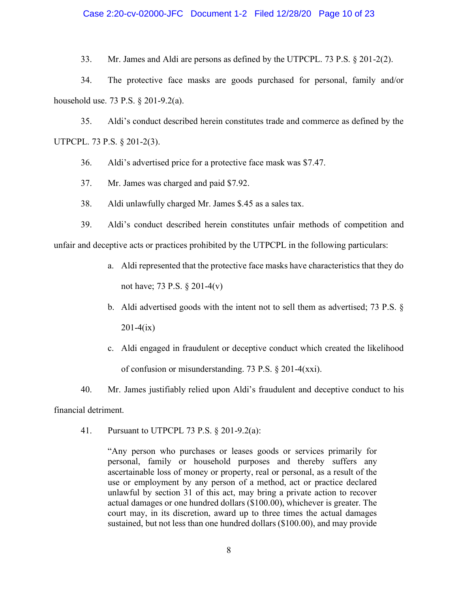### Case 2:20-cv-02000-JFC Document 1-2 Filed 12/28/20 Page 10 of 23

33. Mr. James and Aldi are persons as defined by the UTPCPL. 73 P.S. § 201-2(2).

34. The protective face masks are goods purchased for personal, family and/or household use. 73 P.S. § 201-9.2(a).

35. Aldi's conduct described herein constitutes trade and commerce as defined by the UTPCPL. 73 P.S. § 201-2(3).

36. Aldi's advertised price for a protective face mask was \$7.47.

37. Mr. James was charged and paid \$7.92.

38. Aldi unlawfully charged Mr. James \$.45 as a sales tax.

39. Aldi's conduct described herein constitutes unfair methods of competition and unfair and deceptive acts or practices prohibited by the UTPCPL in the following particulars:

- a. Aldi represented that the protective face masks have characteristics that they do not have; 73 P.S. § 201-4(v)
- b. Aldi advertised goods with the intent not to sell them as advertised; 73 P.S. §  $201-4(ix)$
- c. Aldi engaged in fraudulent or deceptive conduct which created the likelihood of confusion or misunderstanding. 73 P.S. § 201-4(xxi).
- 40. Mr. James justifiably relied upon Aldi's fraudulent and deceptive conduct to his

financial detriment.

41. Pursuant to UTPCPL 73 P.S. § 201-9.2(a):

"Any person who purchases or leases goods or services primarily for personal, family or household purposes and thereby suffers any ascertainable loss of money or property, real or personal, as a result of the use or employment by any person of a method, act or practice declared unlawful by section 31 of this act, may bring a private action to recover actual damages or one hundred dollars (\$100.00), whichever is greater. The court may, in its discretion, award up to three times the actual damages sustained, but not less than one hundred dollars (\$100.00), and may provide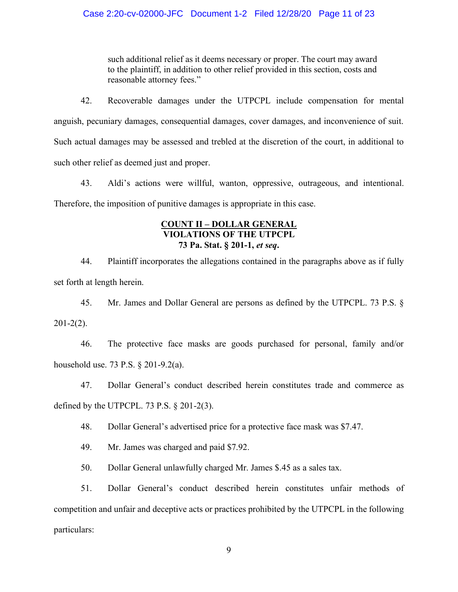such additional relief as it deems necessary or proper. The court may award to the plaintiff, in addition to other relief provided in this section, costs and reasonable attorney fees."

42. Recoverable damages under the UTPCPL include compensation for mental anguish, pecuniary damages, consequential damages, cover damages, and inconvenience of suit. Such actual damages may be assessed and trebled at the discretion of the court, in additional to such other relief as deemed just and proper.

43. Aldi's actions were willful, wanton, oppressive, outrageous, and intentional. Therefore, the imposition of punitive damages is appropriate in this case.

### **COUNT II – DOLLAR GENERAL VIOLATIONS OF THE UTPCPL 73 Pa. Stat. § 201-1,** *et seq***.**

44. Plaintiff incorporates the allegations contained in the paragraphs above as if fully set forth at length herein.

45. Mr. James and Dollar General are persons as defined by the UTPCPL. 73 P.S. §  $201 - 2(2)$ .

46. The protective face masks are goods purchased for personal, family and/or household use. 73 P.S. § 201-9.2(a).

47. Dollar General's conduct described herein constitutes trade and commerce as defined by the UTPCPL. 73 P.S.  $\S$  201-2(3).

48. Dollar General's advertised price for a protective face mask was \$7.47.

49. Mr. James was charged and paid \$7.92.

50. Dollar General unlawfully charged Mr. James \$.45 as a sales tax.

51. Dollar General's conduct described herein constitutes unfair methods of competition and unfair and deceptive acts or practices prohibited by the UTPCPL in the following particulars: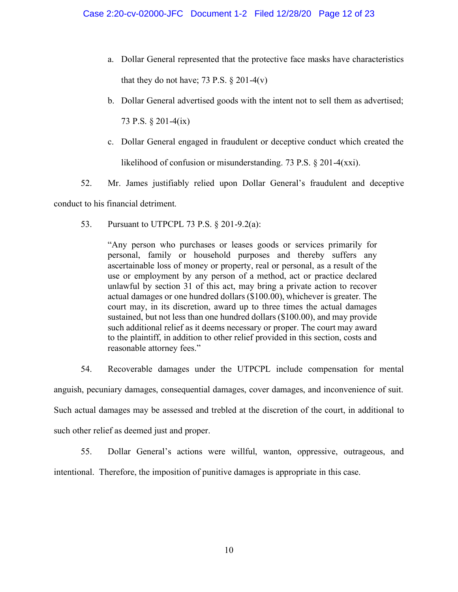- a. Dollar General represented that the protective face masks have characteristics that they do not have; 73 P.S.  $\S 201-4(v)$
- b. Dollar General advertised goods with the intent not to sell them as advertised;

73 P.S. § 201-4(ix)

- c. Dollar General engaged in fraudulent or deceptive conduct which created the likelihood of confusion or misunderstanding. 73 P.S. § 201-4(xxi).
- 52. Mr. James justifiably relied upon Dollar General's fraudulent and deceptive

conduct to his financial detriment.

53. Pursuant to UTPCPL 73 P.S. § 201-9.2(a):

"Any person who purchases or leases goods or services primarily for personal, family or household purposes and thereby suffers any ascertainable loss of money or property, real or personal, as a result of the use or employment by any person of a method, act or practice declared unlawful by section 31 of this act, may bring a private action to recover actual damages or one hundred dollars (\$100.00), whichever is greater. The court may, in its discretion, award up to three times the actual damages sustained, but not less than one hundred dollars (\$100.00), and may provide such additional relief as it deems necessary or proper. The court may award to the plaintiff, in addition to other relief provided in this section, costs and reasonable attorney fees."

54. Recoverable damages under the UTPCPL include compensation for mental anguish, pecuniary damages, consequential damages, cover damages, and inconvenience of suit. Such actual damages may be assessed and trebled at the discretion of the court, in additional to such other relief as deemed just and proper.

55. Dollar General's actions were willful, wanton, oppressive, outrageous, and intentional. Therefore, the imposition of punitive damages is appropriate in this case.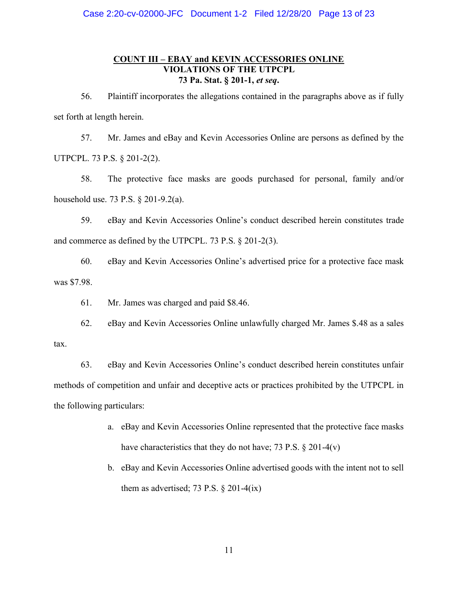# **COUNT III – EBAY and KEVIN ACCESSORIES ONLINE VIOLATIONS OF THE UTPCPL 73 Pa. Stat. § 201-1,** *et seq***.**

56. Plaintiff incorporates the allegations contained in the paragraphs above as if fully set forth at length herein.

57. Mr. James and eBay and Kevin Accessories Online are persons as defined by the UTPCPL. 73 P.S. § 201-2(2).

58. The protective face masks are goods purchased for personal, family and/or household use. 73 P.S. § 201-9.2(a).

59. eBay and Kevin Accessories Online's conduct described herein constitutes trade and commerce as defined by the UTPCPL. 73 P.S. § 201-2(3).

60. eBay and Kevin Accessories Online's advertised price for a protective face mask was \$7.98.

61. Mr. James was charged and paid \$8.46.

62. eBay and Kevin Accessories Online unlawfully charged Mr. James \$.48 as a sales tax.

63. eBay and Kevin Accessories Online's conduct described herein constitutes unfair methods of competition and unfair and deceptive acts or practices prohibited by the UTPCPL in the following particulars:

- a. eBay and Kevin Accessories Online represented that the protective face masks have characteristics that they do not have; 73 P.S. § 201-4(v)
- b. eBay and Kevin Accessories Online advertised goods with the intent not to sell them as advertised; 73 P.S.  $\S 201-4(ix)$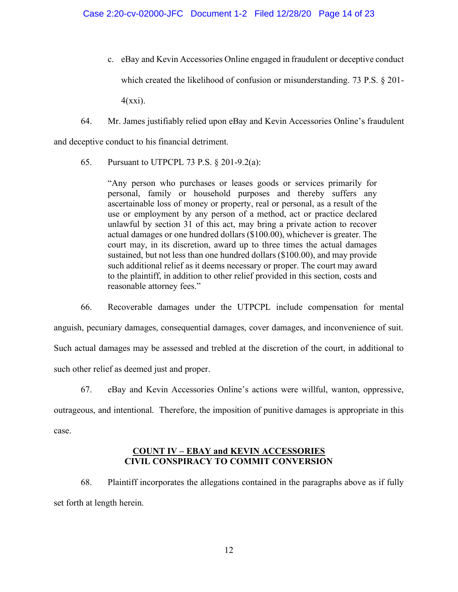- c. eBay and Kevin Accessories Online engaged in fraudulent or deceptive conduct which created the likelihood of confusion or misunderstanding. 73 P.S. § 201- $4(xxi)$ .
- 64. Mr. James justifiably relied upon eBay and Kevin Accessories Online's fraudulent and deceptive conduct to his financial detriment.
	- 65. Pursuant to UTPCPL 73 P.S. § 201-9.2(a):

"Any person who purchases or leases goods or services primarily for personal, family or household purposes and thereby suffers any ascertainable loss of money or property, real or personal, as a result of the use or employment by any person of a method, act or practice declared unlawful by section 31 of this act, may bring a private action to recover actual damages or one hundred dollars (\$100.00), whichever is greater. The court may, in its discretion, award up to three times the actual damages sustained, but not less than one hundred dollars (\$100.00), and may provide such additional relief as it deems necessary or proper. The court may award to the plaintiff, in addition to other relief provided in this section, costs and reasonable attorney fees."

66. Recoverable damages under the UTPCPL include compensation for mental anguish, pecuniary damages, consequential damages, cover damages, and inconvenience of suit. Such actual damages may be assessed and trebled at the discretion of the court, in additional to such other relief as deemed just and proper.

67. eBay and Kevin Accessories Online's actions were willful, wanton, oppressive,

outrageous, and intentional. Therefore, the imposition of punitive damages is appropriate in this case.

### **COUNT IV – EBAY and KEVIN ACCESSORIES CIVIL CONSPIRACY TO COMMIT CONVERSION**

68. Plaintiff incorporates the allegations contained in the paragraphs above as if fully set forth at length herein.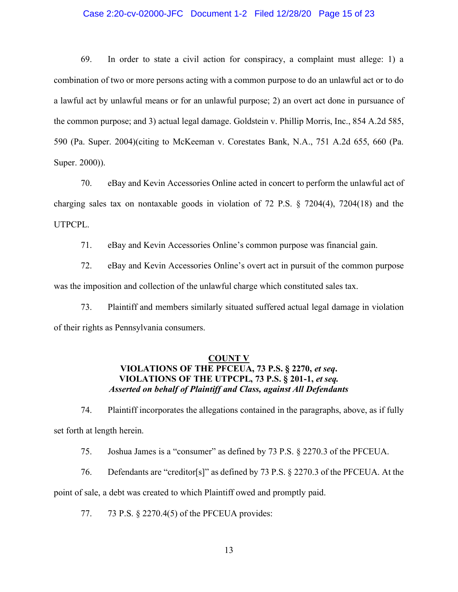### Case 2:20-cv-02000-JFC Document 1-2 Filed 12/28/20 Page 15 of 23

69. In order to state a civil action for conspiracy, a complaint must allege: 1) a combination of two or more persons acting with a common purpose to do an unlawful act or to do a lawful act by unlawful means or for an unlawful purpose; 2) an overt act done in pursuance of the common purpose; and 3) actual legal damage. Goldstein v. Phillip Morris, Inc., 854 A.2d 585, 590 (Pa. Super. 2004)(citing to McKeeman v. Corestates Bank, N.A., 751 A.2d 655, 660 (Pa. Super. 2000)).

70. eBay and Kevin Accessories Online acted in concert to perform the unlawful act of charging sales tax on nontaxable goods in violation of 72 P.S. § 7204(4), 7204(18) and the UTPCPL.

71. eBay and Kevin Accessories Online's common purpose was financial gain.

72. eBay and Kevin Accessories Online's overt act in pursuit of the common purpose was the imposition and collection of the unlawful charge which constituted sales tax.

73. Plaintiff and members similarly situated suffered actual legal damage in violation of their rights as Pennsylvania consumers.

### **COUNT V VIOLATIONS OF THE PFCEUA, 73 P.S. § 2270,** *et seq***. VIOLATIONS OF THE UTPCPL, 73 P.S. § 201-1,** *et seq. Asserted on behalf of Plaintiff and Class, against All Defendants*

74. Plaintiff incorporates the allegations contained in the paragraphs, above, as if fully set forth at length herein.

75. Joshua James is a "consumer" as defined by 73 P.S.  $\S$  2270.3 of the PFCEUA.

76. Defendants are "creditor[s]" as defined by 73 P.S.  $\S$  2270.3 of the PFCEUA. At the

point of sale, a debt was created to which Plaintiff owed and promptly paid.

77. 73 P.S. § 2270.4(5) of the PFCEUA provides: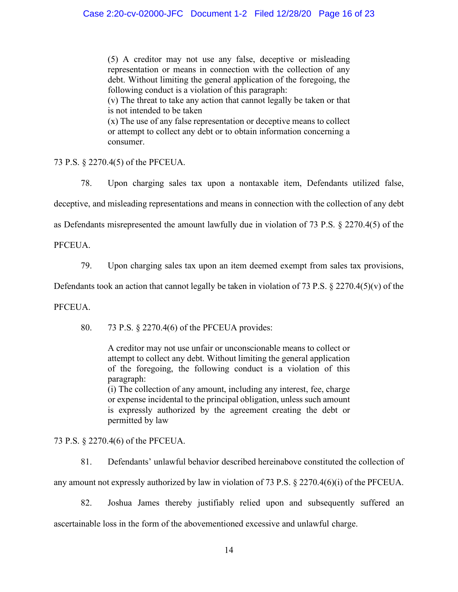(5) A creditor may not use any false, deceptive or misleading representation or means in connection with the collection of any debt. Without limiting the general application of the foregoing, the following conduct is a violation of this paragraph:

(v) The threat to take any action that cannot legally be taken or that is not intended to be taken

(x) The use of any false representation or deceptive means to collect or attempt to collect any debt or to obtain information concerning a consumer.

73 P.S. § 2270.4(5) of the PFCEUA.

78. Upon charging sales tax upon a nontaxable item, Defendants utilized false, deceptive, and misleading representations and means in connection with the collection of any debt as Defendants misrepresented the amount lawfully due in violation of 73 P.S. § 2270.4(5) of the

**PFCEUA** 

79. Upon charging sales tax upon an item deemed exempt from sales tax provisions,

Defendants took an action that cannot legally be taken in violation of 73 P.S. § 2270.4(5)(v) of the

PFCEUA.

80. 73 P.S. § 2270.4(6) of the PFCEUA provides:

A creditor may not use unfair or unconscionable means to collect or attempt to collect any debt. Without limiting the general application of the foregoing, the following conduct is a violation of this paragraph:

(i) The collection of any amount, including any interest, fee, charge or expense incidental to the principal obligation, unless such amount is expressly authorized by the agreement creating the debt or permitted by law

73 P.S. § 2270.4(6) of the PFCEUA.

81. Defendants' unlawful behavior described hereinabove constituted the collection of

any amount not expressly authorized by law in violation of 73 P.S. § 2270.4(6)(i) of the PFCEUA.

82. Joshua James thereby justifiably relied upon and subsequently suffered an ascertainable loss in the form of the abovementioned excessive and unlawful charge.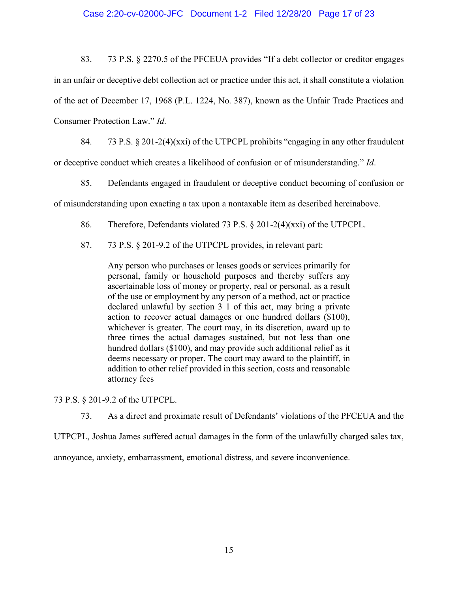### Case 2:20-cv-02000-JFC Document 1-2 Filed 12/28/20 Page 17 of 23

83. 73 P.S. § 2270.5 of the PFCEUA provides "If a debt collector or creditor engages in an unfair or deceptive debt collection act or practice under this act, it shall constitute a violation of the act of December 17, 1968 (P.L. 1224, No. 387), known as the Unfair Trade Practices and Consumer Protection Law." *Id.* 

84.  $\frac{73 \text{ P.S. } }{201-2(4)(\text{xxi})}$  of the UTPCPL prohibits "engaging in any other fraudulent or deceptive conduct which creates a likelihood of confusion or of misunderstanding.´ *Id*.

85. Defendants engaged in fraudulent or deceptive conduct becoming of confusion or of misunderstanding upon exacting a tax upon a nontaxable item as described hereinabove.

- 86. Therefore, Defendants violated 73 P.S. § 201-2(4)(xxi) of the UTPCPL.
- 87. 73 P.S. § 201-9.2 of the UTPCPL provides, in relevant part:

Any person who purchases or leases goods or services primarily for personal, family or household purposes and thereby suffers any ascertainable loss of money or property, real or personal, as a result of the use or employment by any person of a method, act or practice declared unlawful by section 3 1 of this act, may bring a private action to recover actual damages or one hundred dollars (\$100), whichever is greater. The court may, in its discretion, award up to three times the actual damages sustained, but not less than one hundred dollars (\$100), and may provide such additional relief as it deems necessary or proper. The court may award to the plaintiff, in addition to other relief provided in this section, costs and reasonable attorney fees

73 P.S. § 201-9.2 of the UTPCPL.

73. As a direct and proximate result of Defendants' violations of the PFCEUA and the

UTPCPL, Joshua James suffered actual damages in the form of the unlawfully charged sales tax,

annoyance, anxiety, embarrassment, emotional distress, and severe inconvenience.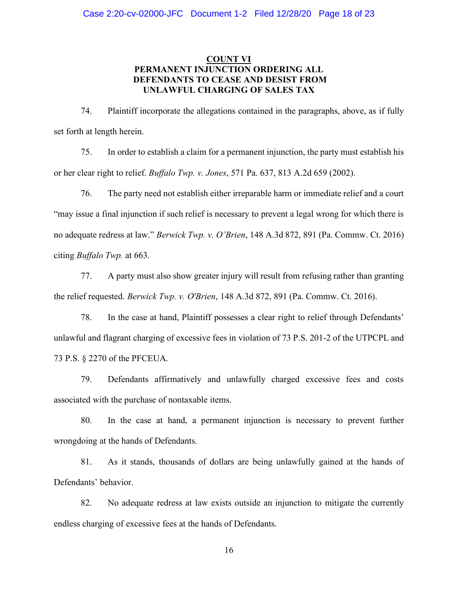### **COUNT VI PERMANENT INJUNCTION ORDERING ALL DEFENDANTS TO CEASE AND DESIST FROM UNLAWFUL CHARGING OF SALES TAX**

74. Plaintiff incorporate the allegations contained in the paragraphs, above, as if fully set forth at length herein.

75. In order to establish a claim for a permanent injunction, the party must establish his or her clear right to relief. *Buffalo Twp. v. Jones*, 571 Pa. 637, 813 A.2d 659 (2002).

76. The party need not establish either irreparable harm or immediate relief and a court "may issue a final injunction if such relief is necessary to prevent a legal wrong for which there is no adequate redress at law." *Berwick Twp. v. O'Brien*, 148 A.3d 872, 891 (Pa. Commw. Ct. 2016) citing *Buffalo Twp.* at 663.

77. A party must also show greater injury will result from refusing rather than granting the relief requested. *Berwick Twp. v. O'Brien*, 148 A.3d 872, 891 (Pa. Commw. Ct. 2016).

78. In the case at hand, Plaintiff possesses a clear right to relief through Defendants' unlawful and flagrant charging of excessive fees in violation of 73 P.S. 201-2 of the UTPCPL and 73 P.S. § 2270 of the PFCEUA.

79. Defendants affirmatively and unlawfully charged excessive fees and costs associated with the purchase of nontaxable items.

80. In the case at hand, a permanent injunction is necessary to prevent further wrongdoing at the hands of Defendants.

81. As it stands, thousands of dollars are being unlawfully gained at the hands of Defendants' behavior.

82. No adequate redress at law exists outside an injunction to mitigate the currently endless charging of excessive fees at the hands of Defendants.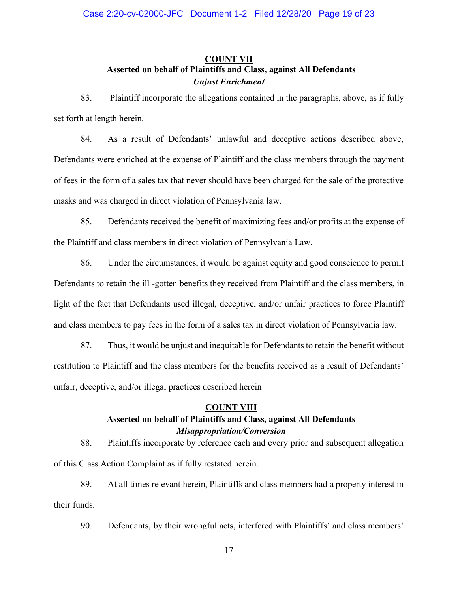# **COUNT VII Asserted on behalf of Plaintiffs and Class, against All Defendants** *Unjust Enrichment*

83. Plaintiff incorporate the allegations contained in the paragraphs, above, as if fully set forth at length herein.

84. As a result of Defendants' unlawful and deceptive actions described above, Defendants were enriched at the expense of Plaintiff and the class members through the payment of fees in the form of a sales tax that never should have been charged for the sale of the protective masks and was charged in direct violation of Pennsylvania law.

85. Defendants received the benefit of maximizing fees and/or profits at the expense of the Plaintiff and class members in direct violation of Pennsylvania Law.

86. Under the circumstances, it would be against equity and good conscience to permit Defendants to retain the ill -gotten benefits they received from Plaintiff and the class members, in light of the fact that Defendants used illegal, deceptive, and/or unfair practices to force Plaintiff and class members to pay fees in the form of a sales tax in direct violation of Pennsylvania law.

87. Thus, it would be unjust and inequitable for Defendants to retain the benefit without restitution to Plaintiff and the class members for the benefits received as a result of Defendants' unfair, deceptive, and/or illegal practices described herein

### **COUNT VIII**

# **Asserted on behalf of Plaintiffs and Class, against All Defendants** *Misappropriation/Conversion*

88. Plaintiffs incorporate by reference each and every prior and subsequent allegation of this Class Action Complaint as if fully restated herein.

89. At all times relevant herein, Plaintiffs and class members had a property interest in their funds.

90. Defendants, by their wrongful acts, interfered with Plaintiffs' and class members'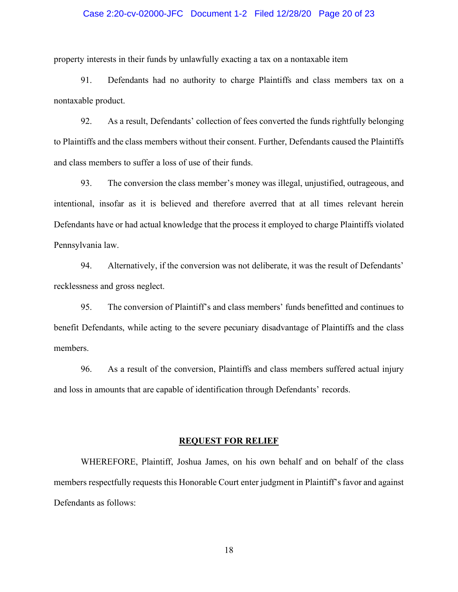### Case 2:20-cv-02000-JFC Document 1-2 Filed 12/28/20 Page 20 of 23

property interests in their funds by unlawfully exacting a tax on a nontaxable item

91. Defendants had no authority to charge Plaintiffs and class members tax on a nontaxable product.

92. As a result, Defendants' collection of fees converted the funds rightfully belonging to Plaintiffs and the class members without their consent. Further, Defendants caused the Plaintiffs and class members to suffer a loss of use of their funds.

93. The conversion the class member's money was illegal, unjustified, outrageous, and intentional, insofar as it is believed and therefore averred that at all times relevant herein Defendants have or had actual knowledge that the process it employed to charge Plaintiffs violated Pennsylvania law.

94. Alternatively, if the conversion was not deliberate, it was the result of Defendants' recklessness and gross neglect.

95. The conversion of Plaintiff's and class members' funds benefitted and continues to benefit Defendants, while acting to the severe pecuniary disadvantage of Plaintiffs and the class members.

96. As a result of the conversion, Plaintiffs and class members suffered actual injury and loss in amounts that are capable of identification through Defendants' records.

### **REQUEST FOR RELIEF**

WHEREFORE, Plaintiff, Joshua James, on his own behalf and on behalf of the class members respectfully requests this Honorable Court enter judgment in Plaintiff's favor and against Defendants as follows: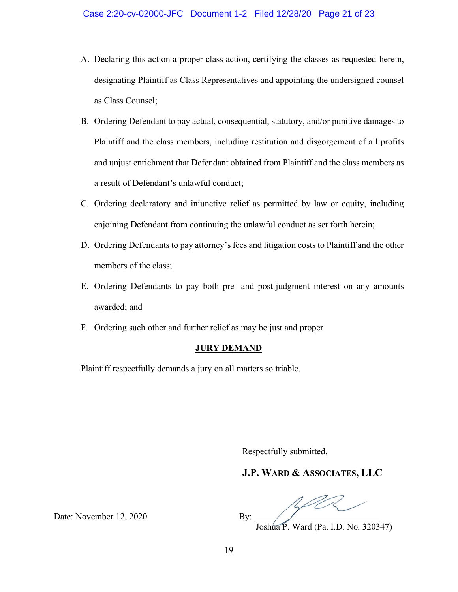- A. Declaring this action a proper class action, certifying the classes as requested herein, designating Plaintiff as Class Representatives and appointing the undersigned counsel as Class Counsel;
- B. Ordering Defendant to pay actual, consequential, statutory, and/or punitive damages to Plaintiff and the class members, including restitution and disgorgement of all profits and unjust enrichment that Defendant obtained from Plaintiff and the class members as a result of Defendant's unlawful conduct;
- C. Ordering declaratory and injunctive relief as permitted by law or equity, including enjoining Defendant from continuing the unlawful conduct as set forth herein;
- D. Ordering Defendants to pay attorney's fees and litigation costs to Plaintiff and the other members of the class;
- E. Ordering Defendants to pay both pre- and post-judgment interest on any amounts awarded; and
- F. Ordering such other and further relief as may be just and proper

### **JURY DEMAND**

Plaintiff respectfully demands a jury on all matters so triable.

Respectfully submitted,

# **J.P. WARD & ASSOCIATES, LLC**

Joshua P. Ward (Pa. I.D. No. 320347)

Date: November 12, 2020 By: